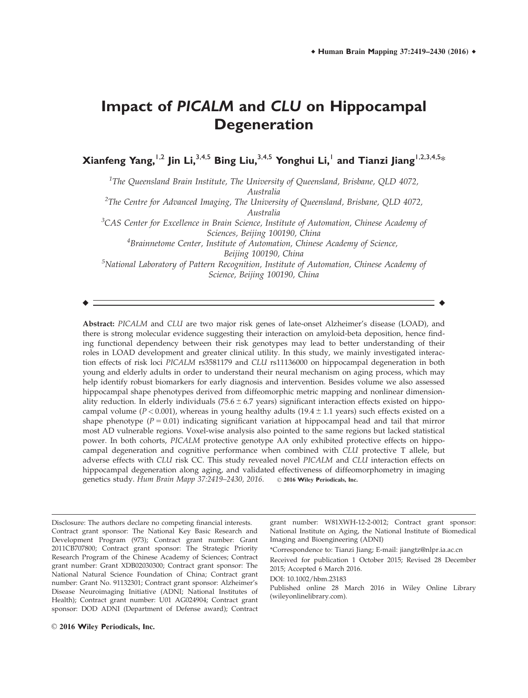# **Impact of** PICALM **and** CLU **on Hippocampal Degeneration**

**Xianfeng Yang,**1,2 **Jin Li,**3,4,5 **Bing Liu,**3,4,5 **Yonghui Li,**<sup>1</sup> **and Tianzi Jiang**1,2,3,4,5\*

 $^{\rm 1}$ The Queensland Brain Institute, The University of Queensland, Brisbane, QLD 4072, Australia  $^{2}$ The Centre for Advanced Imaging, The University of Queensland, Brisbane, QLD 4072, Australia <sup>3</sup>CAS Center for Excellence in Brain Science, Institute of Automation, Chinese Academy of Sciences, Beijing 100190, China

<sup>4</sup> Brainnetome Center, Institute of Automation, Chinese Academy of Science, Beijing 100190, China

<sup>5</sup>National Laboratory of Pattern Recognition, Institute of Automation, Chinese Academy of Science, Beijing 100190, China

r r

Abstract: PICALM and CLU are two major risk genes of late-onset Alzheimer's disease (LOAD), and there is strong molecular evidence suggesting their interaction on amyloid-beta deposition, hence finding functional dependency between their risk genotypes may lead to better understanding of their roles in LOAD development and greater clinical utility. In this study, we mainly investigated interaction effects of risk loci PICALM rs3581179 and CLU rs11136000 on hippocampal degeneration in both young and elderly adults in order to understand their neural mechanism on aging process, which may help identify robust biomarkers for early diagnosis and intervention. Besides volume we also assessed hippocampal shape phenotypes derived from diffeomorphic metric mapping and nonlinear dimensionality reduction. In elderly individuals  $(75.6 \pm 6.7 \text{ years})$  significant interaction effects existed on hippocampal volume ( $P < 0.001$ ), whereas in young healthy adults (19.4  $\pm$  1.1 years) such effects existed on a shape phenotype  $(P = 0.01)$  indicating significant variation at hippocampal head and tail that mirror most AD vulnerable regions. Voxel-wise analysis also pointed to the same regions but lacked statistical power. In both cohorts, PICALM protective genotype AA only exhibited protective effects on hippocampal degeneration and cognitive performance when combined with CLU protective T allele, but adverse effects with CLU risk CC. This study revealed novel PICALM and CLU interaction effects on hippocampal degeneration along aging, and validated effectiveness of diffeomorphometry in imaging genetics study. Hum Brain Mapp 37:2419–2430, 2016. © 2016 Wiley Periodicals, Inc.

Disclosure: The authors declare no competing financial interests. Contract grant sponsor: The National Key Basic Research and Development Program (973); Contract grant number: Grant 2011CB707800; Contract grant sponsor: The Strategic Priority Research Program of the Chinese Academy of Sciences; Contract grant number: Grant XDB02030300; Contract grant sponsor: The National Natural Science Foundation of China; Contract grant number: Grant No. 91132301; Contract grant sponsor: Alzheimer's Disease Neuroimaging Initiative (ADNI; National Institutes of Health); Contract grant number: U01 AG024904; Contract grant sponsor: DOD ADNI (Department of Defense award); Contract grant number: W81XWH-12-2-0012; Contract grant sponsor: National Institute on Aging, the National Institute of Biomedical Imaging and Bioengineering (ADNI)

\*Correspondence to: Tianzi Jiang; E-mail: jiangtz@nlpr.ia.ac.cn Received for publication 1 October 2015; Revised 28 December 2015; Accepted 6 March 2016.

DOI: 10.1002/hbm.23183

Published online 28 March 2016 in Wiley Online Library (wileyonlinelibrary.com).

 $\odot$  2016 Wiley Periodicals, Inc.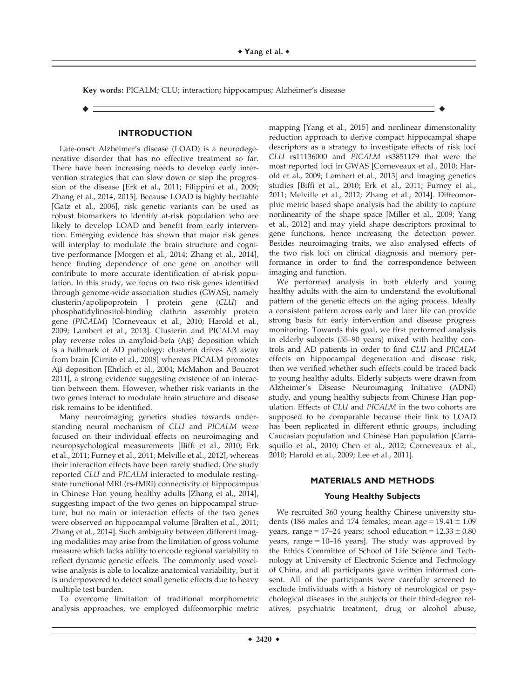r r

Key words: PICALM; CLU; interaction; hippocampus; Alzheimer's disease

## **INTRODUCTION**

Late-onset Alzheimer's disease (LOAD) is a neurodegenerative disorder that has no effective treatment so far. There have been increasing needs to develop early intervention strategies that can slow down or stop the progression of the disease [Erk et al., 2011; Filippini et al., 2009; Zhang et al., 2014, 2015]. Because LOAD is highly heritable [Gatz et al., 2006], risk genetic variants can be used as robust biomarkers to identify at-risk population who are likely to develop LOAD and benefit from early intervention. Emerging evidence has shown that major risk genes will interplay to modulate the brain structure and cognitive performance [Morgen et al., 2014; Zhang et al., 2014], hence finding dependence of one gene on another will contribute to more accurate identification of at-risk population. In this study, we focus on two risk genes identified through genome-wide association studies (GWAS), namely clusterin/apolipoprotein J protein gene (CLU) and phosphatidylinositol-binding clathrin assembly protein gene (PICALM) [Corneveaux et al., 2010; Harold et al., 2009; Lambert et al., 2013]. Clusterin and PICALM may play reverse roles in amyloid-beta  $(A\beta)$  deposition which is a hallmark of AD pathology: clusterin drives  $A\beta$  away from brain [Cirrito et al., 2008] whereas PICALM promotes Aβ deposition [Ehrlich et al., 2004; McMahon and Boucrot 2011], a strong evidence suggesting existence of an interaction between them. However, whether risk variants in the two genes interact to modulate brain structure and disease risk remains to be identified.

Many neuroimaging genetics studies towards understanding neural mechanism of CLU and PICALM were focused on their individual effects on neuroimaging and neuropsychological measurements [Biffi et al., 2010; Erk et al., 2011; Furney et al., 2011; Melville et al., 2012], whereas their interaction effects have been rarely studied. One study reported CLU and PICALM interacted to modulate restingstate functional MRI (rs-fMRI) connectivity of hippocampus in Chinese Han young healthy adults [Zhang et al., 2014], suggesting impact of the two genes on hippocampal structure, but no main or interaction effects of the two genes were observed on hippocampal volume [Bralten et al., 2011; Zhang et al., 2014]. Such ambiguity between different imaging modalities may arise from the limitation of gross volume measure which lacks ability to encode regional variability to reflect dynamic genetic effects. The commonly used voxelwise analysis is able to localize anatomical variability, but it is underpowered to detect small genetic effects due to heavy multiple test burden.

To overcome limitation of traditional morphometric analysis approaches, we employed diffeomorphic metric

mapping [Yang et al., 2015] and nonlinear dimensionality reduction approach to derive compact hippocampal shape descriptors as a strategy to investigate effects of risk loci CLU rs11136000 and PICALM rs3851179 that were the most reported loci in GWAS [Corneveaux et al., 2010; Harold et al., 2009; Lambert et al., 2013] and imaging genetics studies [Biffi et al., 2010; Erk et al., 2011; Furney et al., 2011; Melville et al., 2012; Zhang et al., 2014]. Diffeomorphic metric based shape analysis had the ability to capture nonlinearity of the shape space [Miller et al., 2009; Yang et al., 2012] and may yield shape descriptors proximal to gene functions, hence increasing the detection power. Besides neuroimaging traits, we also analysed effects of the two risk loci on clinical diagnosis and memory performance in order to find the correspondence between imaging and function.

We performed analysis in both elderly and young healthy adults with the aim to understand the evolutional pattern of the genetic effects on the aging process. Ideally a consistent pattern across early and later life can provide strong basis for early intervention and disease progress monitoring. Towards this goal, we first performed analysis in elderly subjects (55–90 years) mixed with healthy controls and AD patients in order to find CLU and PICALM effects on hippocampal degeneration and disease risk, then we verified whether such effects could be traced back to young healthy adults. Elderly subjects were drawn from Alzheimer's Disease Neuroimaging Initiative (ADNI) study, and young healthy subjects from Chinese Han population. Effects of CLU and PICALM in the two cohorts are supposed to be comparable because their link to LOAD has been replicated in different ethnic groups, including Caucasian population and Chinese Han population [Carrasquillo et al., 2010; Chen et al., 2012; Corneveaux et al., 2010; Harold et al., 2009; Lee et al., 2011].

## **MATERIALS AND METHODS**

# **Young Healthy Subjects**

We recruited 360 young healthy Chinese university students (186 males and 174 females; mean age =  $19.41 \pm 1.09$ years, range =  $17-24$  years; school education =  $12.33 \pm 0.80$ years, range  $= 10-16$  years]. The study was approved by the Ethics Committee of School of Life Science and Technology at University of Electronic Science and Technology of China, and all participants gave written informed consent. All of the participants were carefully screened to exclude individuals with a history of neurological or psychological diseases in the subjects or their third-degree relatives, psychiatric treatment, drug or alcohol abuse,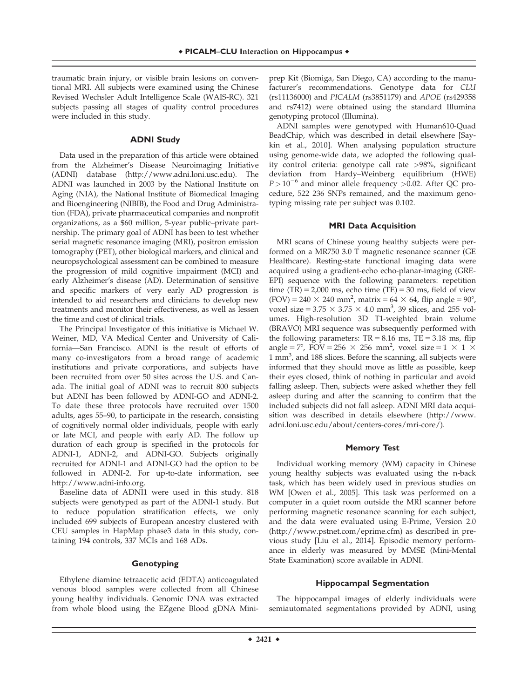traumatic brain injury, or visible brain lesions on conventional MRI. All subjects were examined using the Chinese Revised Wechsler Adult Intelligence Scale (WAIS-RC). 321 subjects passing all stages of quality control procedures were included in this study.

# **ADNI Study**

Data used in the preparation of this article were obtained from the Alzheimer's Disease Neuroimaging Initiative (ADNI) database [\(http://www.adni.loni.usc.edu\)](http://www.adni.loni.usc.edu). The ADNI was launched in 2003 by the National Institute on Aging (NIA), the National Institute of Biomedical Imaging and Bioengineering (NIBIB), the Food and Drug Administration (FDA), private pharmaceutical companies and nonprofit organizations, as a \$60 million, 5-year public–private partnership. The primary goal of ADNI has been to test whether serial magnetic resonance imaging (MRI), positron emission tomography (PET), other biological markers, and clinical and neuropsychological assessment can be combined to measure the progression of mild cognitive impairment (MCI) and early Alzheimer's disease (AD). Determination of sensitive and specific markers of very early AD progression is intended to aid researchers and clinicians to develop new treatments and monitor their effectiveness, as well as lessen the time and cost of clinical trials.

The Principal Investigator of this initiative is Michael W. Weiner, MD, VA Medical Center and University of California—San Francisco. ADNI is the result of efforts of many co-investigators from a broad range of academic institutions and private corporations, and subjects have been recruited from over 50 sites across the U.S. and Canada. The initial goal of ADNI was to recruit 800 subjects but ADNI has been followed by ADNI-GO and ADNI-2. To date these three protocols have recruited over 1500 adults, ages 55–90, to participate in the research, consisting of cognitively normal older individuals, people with early or late MCI, and people with early AD. The follow up duration of each group is specified in the protocols for ADNI-1, ADNI-2, and ADNI-GO. Subjects originally recruited for ADNI-1 and ADNI-GO had the option to be followed in ADNI-2. For up-to-date information, see http://[www.adni-info.org.](http://www.adni-info.org)

Baseline data of ADNI1 were used in this study. 818 subjects were genotyped as part of the ADNI-1 study. But to reduce population stratification effects, we only included 699 subjects of European ancestry clustered with CEU samples in HapMap phase3 data in this study, containing 194 controls, 337 MCIs and 168 ADs.

# **Genotyping**

Ethylene diamine tetraacetic acid (EDTA) anticoagulated venous blood samples were collected from all Chinese young healthy individuals. Genomic DNA was extracted from whole blood using the EZgene Blood gDNA Mini-

prep Kit (Biomiga, San Diego, CA) according to the manufacturer's recommendations. Genotype data for CLU (rs11136000) and PICALM (rs3851179) and APOE (rs429358 and rs7412) were obtained using the standard Illumina genotyping protocol (Illumina).

ADNI samples were genotyped with Human610-Quad BeadChip, which was described in detail elsewhere [Saykin et al., 2010]. When analysing population structure using genome-wide data, we adopted the following quality control criteria: genotype call rate >98%, significant deviation from Hardy–Weinberg equilibrium (HWE)  $P > 10^{-6}$  and minor allele frequency >0.02. After QC procedure, 522 236 SNPs remained, and the maximum genotyping missing rate per subject was 0.102.

### **MRI Data Acquisition**

MRI scans of Chinese young healthy subjects were performed on a MR750 3.0 T magnetic resonance scanner (GE Healthcare). Resting-state functional imaging data were acquired using a gradient-echo echo-planar-imaging (GRE-EPI) sequence with the following parameters: repetition time  $(TR) = 2,000$  ms, echo time  $(TE) = 30$  ms, field of view  $(FOV) = 240 \times 240$  mm<sup>2</sup>, matrix = 64  $\times$  64, flip angle = 90°, voxel size =  $3.75 \times 3.75 \times 4.0$  mm<sup>3</sup>, 39 slices, and 255 volumes. High-resolution 3D T1-weighted brain volume (BRAVO) MRI sequence was subsequently performed with the following parameters:  $TR = 8.16$  ms,  $TE = 3.18$  ms, flip angle = 7°, FOV = 256  $\times$  256 mm<sup>2</sup>, voxel size = 1  $\times$  1  $\times$ 1 mm<sup>3</sup>, and 188 slices. Before the scanning, all subjects were informed that they should move as little as possible, keep their eyes closed, think of nothing in particular and avoid falling asleep. Then, subjects were asked whether they fell asleep during and after the scanning to confirm that the included subjects did not fall asleep. ADNI MRI data acquisition was described in details elsewhere ([http://www.](http://www.adni.loni.usc.edu/about/centers-cores/mri-core) [adni.loni.usc.edu/about/centers-cores/mri-core](http://www.adni.loni.usc.edu/about/centers-cores/mri-core)/).

## **Memory Test**

Individual working memory (WM) capacity in Chinese young healthy subjects was evaluated using the n-back task, which has been widely used in previous studies on WM [Owen et al., 2005]. This task was performed on a computer in a quiet room outside the MRI scanner before performing magnetic resonance scanning for each subject, and the data were evaluated using E-Prime, Version 2.0 ([http://www.pstnet.com/eprime.cfm\)](http://www.pstnet.com/eprime.cfm) as described in previous study [Liu et al., 2014]. Episodic memory performance in elderly was measured by MMSE (Mini-Mental State Examination) score available in ADNI.

#### **Hippocampal Segmentation**

The hippocampal images of elderly individuals were semiautomated segmentations provided by ADNI, using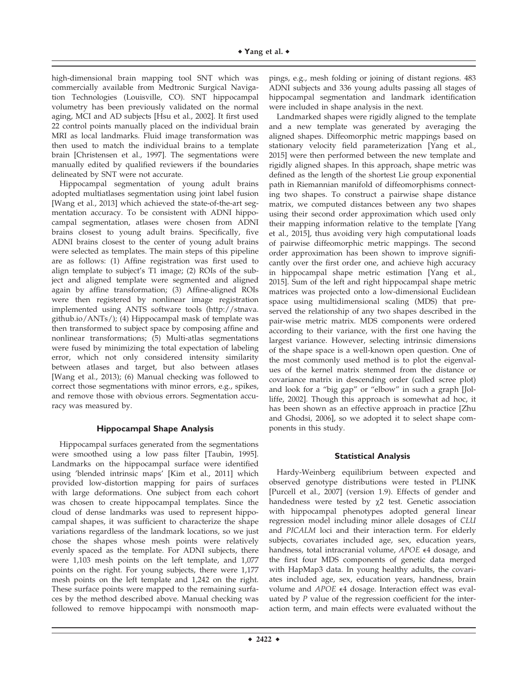high-dimensional brain mapping tool SNT which was commercially available from Medtronic Surgical Navigation Technologies (Louisville, CO). SNT hippocampal volumetry has been previously validated on the normal aging, MCI and AD subjects [Hsu et al., 2002]. It first used 22 control points manually placed on the individual brain MRI as local landmarks. Fluid image transformation was then used to match the individual brains to a template brain [Christensen et al., 1997]. The segmentations were manually edited by qualified reviewers if the boundaries delineated by SNT were not accurate.

Hippocampal segmentation of young adult brains adopted multiatlases segmentation using joint label fusion [Wang et al., 2013] which achieved the state-of-the-art segmentation accuracy. To be consistent with ADNI hippocampal segmentation, atlases were chosen from ADNI brains closest to young adult brains. Specifically, five ADNI brains closest to the center of young adult brains were selected as templates. The main steps of this pipeline are as follows: (1) Affine registration was first used to align template to subject's T1 image; (2) ROIs of the subject and aligned template were segmented and aligned again by affine transformation; (3) Affine-aligned ROIs were then registered by nonlinear image registration implemented using ANTS software tools [\(http://stnava.](http://stnava.github.io/ANTs) [github.io/ANTs](http://stnava.github.io/ANTs)/); (4) Hippocampal mask of template was then transformed to subject space by composing affine and nonlinear transformations; (5) Multi-atlas segmentations were fused by minimizing the total expectation of labeling error, which not only considered intensity similarity between atlases and target, but also between atlases [Wang et al., 2013); (6) Manual checking was followed to correct those segmentations with minor errors, e.g., spikes, and remove those with obvious errors. Segmentation accuracy was measured by.

# **Hippocampal Shape Analysis**

Hippocampal surfaces generated from the segmentations were smoothed using a low pass filter [Taubin, 1995]. Landmarks on the hippocampal surface were identified using 'blended intrinsic maps' [Kim et al., 2011] which provided low-distortion mapping for pairs of surfaces with large deformations. One subject from each cohort was chosen to create hippocampal templates. Since the cloud of dense landmarks was used to represent hippocampal shapes, it was sufficient to characterize the shape variations regardless of the landmark locations, so we just chose the shapes whose mesh points were relatively evenly spaced as the template. For ADNI subjects, there were 1,103 mesh points on the left template, and 1,077 points on the right. For young subjects, there were 1,177 mesh points on the left template and 1,242 on the right. These surface points were mapped to the remaining surfaces by the method described above. Manual checking was followed to remove hippocampi with nonsmooth mappings, e.g., mesh folding or joining of distant regions. 483 ADNI subjects and 336 young adults passing all stages of hippocampal segmentation and landmark identification were included in shape analysis in the next.

Landmarked shapes were rigidly aligned to the template and a new template was generated by averaging the aligned shapes. Diffeomorphic metric mappings based on stationary velocity field parameterization [Yang et al., 2015] were then performed between the new template and rigidly aligned shapes. In this approach, shape metric was defined as the length of the shortest Lie group exponential path in Riemannian manifold of diffeomorphisms connecting two shapes. To construct a pairwise shape distance matrix, we computed distances between any two shapes using their second order approximation which used only their mapping information relative to the template [Yang et al., 2015], thus avoiding very high computational loads of pairwise diffeomorphic metric mappings. The second order approximation has been shown to improve significantly over the first order one, and achieve high accuracy in hippocampal shape metric estimation [Yang et al., 2015]. Sum of the left and right hippocampal shape metric matrices was projected onto a low-dimensional Euclidean space using multidimensional scaling (MDS) that preserved the relationship of any two shapes described in the pair-wise metric matrix. MDS components were ordered according to their variance, with the first one having the largest variance. However, selecting intrinsic dimensions of the shape space is a well-known open question. One of the most commonly used method is to plot the eigenvalues of the kernel matrix stemmed from the distance or covariance matrix in descending order (called scree plot) and look for a "big gap" or "elbow" in such a graph [Jolliffe, 2002]. Though this approach is somewhat ad hoc, it has been shown as an effective approach in practice [Zhu and Ghodsi, 2006], so we adopted it to select shape components in this study.

# **Statistical Analysis**

Hardy-Weinberg equilibrium between expected and observed genotype distributions were tested in PLINK [Purcell et al., 2007] (version 1.9). Effects of gender and handedness were tested by  $\chi$ 2 test. Genetic association with hippocampal phenotypes adopted general linear regression model including minor allele dosages of CLU and PICALM loci and their interaction term. For elderly subjects, covariates included age, sex, education years, handness, total intracranial volume, APOE  $\epsilon$ 4 dosage, and the first four MDS components of genetic data merged with HapMap3 data. In young healthy adults, the covariates included age, sex, education years, handness, brain volume and APOE  $\epsilon$ 4 dosage. Interaction effect was evaluated by  $P$  value of the regression coefficient for the interaction term, and main effects were evaluated without the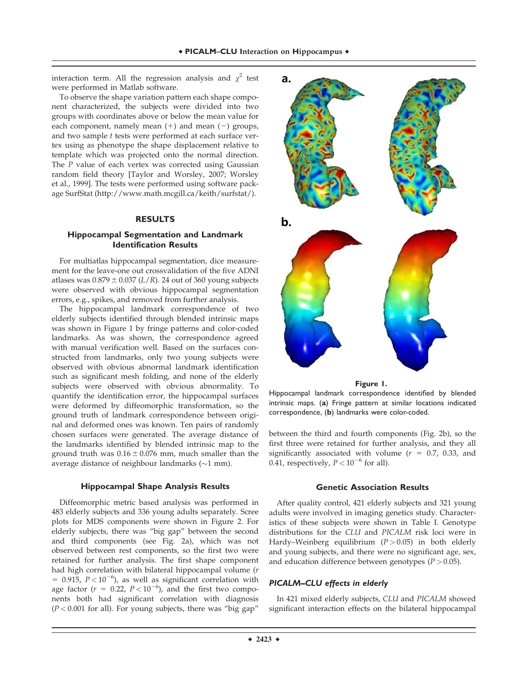interaction term. All the regression analysis and  $\chi^2$  test were performed in Matlab software.

To observe the shape variation pattern each shape component characterized, the subjects were divided into two groups with coordinates above or below the mean value for each component, namely mean  $(+)$  and mean  $(-)$  groups, and two sample  $t$  tests were performed at each surface vertex using as phenotype the shape displacement relative to template which was projected onto the normal direction. The P value of each vertex was corrected using Gaussian random field theory [Taylor and Worsley, 2007; Worsley et al., 1999]. The tests were performed using software package SurfStat (<http://www.math.mcgill.ca/keith/surfstat>/).

# **RESULTS**

# **Hippocampal Segmentation and Landmark Identification Results**

For multiatlas hippocampal segmentation, dice measurement for the leave-one out crossvalidation of the five ADNI atlases was  $0.879 \pm 0.037$  ( $L/R$ ). 24 out of 360 young subjects were observed with obvious hippocampal segmentation errors, e.g., spikes, and removed from further analysis.

The hippocampal landmark correspondence of two elderly subjects identified through blended intrinsic maps was shown in Figure 1 by fringe patterns and color-coded landmarks. As was shown, the correspondence agreed with manual verification well. Based on the surfaces constructed from landmarks, only two young subjects were observed with obvious abnormal landmark identification such as significant mesh folding, and none of the elderly subjects were observed with obvious abnormality. To quantify the identification error, the hippocampal surfaces were deformed by diffeomorphic transformation, so the ground truth of landmark correspondence between original and deformed ones was known. Ten pairs of randomly chosen surfaces were generated. The average distance of the landmarks identified by blended intrinsic map to the ground truth was  $0.16 \pm 0.076$  mm, much smaller than the average distance of neighbour landmarks ( $\sim$ 1 mm).

#### **Hippocampal Shape Analysis Results**

Diffeomorphic metric based analysis was performed in 483 elderly subjects and 336 young adults separately. Scree plots for MDS components were shown in Figure 2. For elderly subjects, there was "big gap" between the second and third components (see Fig. 2a), which was not observed between rest components, so the first two were retained for further analysis. The first shape component had high correlation with bilateral hippocampal volume (r = 0.915,  $P < 10^{-6}$ ), as well as significant correlation with age factor ( $r = 0.22$ ,  $P < 10^{-6}$ ), and the first two components both had significant correlation with diagnosis  $(P < 0.001$  for all). For young subjects, there was "big gap"



**Figure 1.**

Hippocampal landmark correspondence identified by blended intrinsic maps. (**a**) Fringe pattern at similar locations indicated correspondence, (**b**) landmarks were color-coded.

between the third and fourth components (Fig. 2b), so the first three were retained for further analysis, and they all significantly associated with volume ( $r = 0.7$ , 0.33, and 0.41, respectively,  $P < 10^{-6}$  for all).

## **Genetic Association Results**

After quality control, 421 elderly subjects and 321 young adults were involved in imaging genetics study. Characteristics of these subjects were shown in Table I. Genotype distributions for the CLU and PICALM risk loci were in Hardy–Weinberg equilibrium  $(P > 0.05)$  in both elderly and young subjects, and there were no significant age, sex, and education difference between genotypes ( $P > 0.05$ ).

# PICALM–CLU effects in elderly

In 421 mixed elderly subjects, CLU and PICALM showed significant interaction effects on the bilateral hippocampal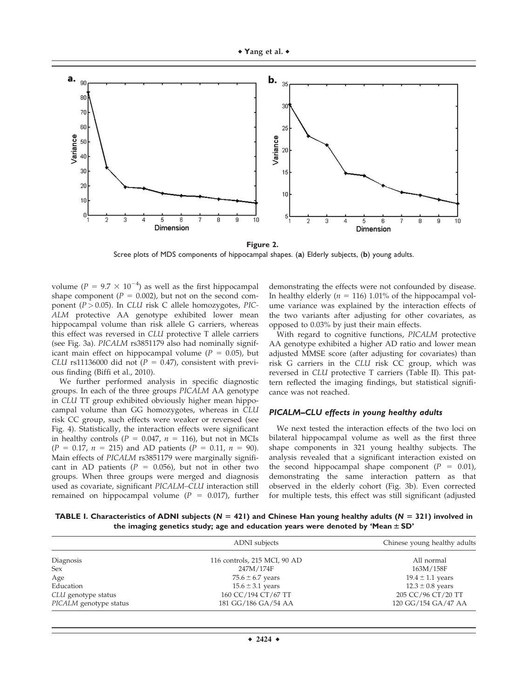

**Figure 2.** Scree plots of MDS components of hippocampal shapes. (**a**) Elderly subjects, (**b**) young adults.

volume ( $P = 9.7 \times 10^{-4}$ ) as well as the first hippocampal shape component ( $P = 0.002$ ), but not on the second component ( $P > 0.05$ ). In CLU risk C allele homozygotes, PIC-ALM protective AA genotype exhibited lower mean hippocampal volume than risk allele G carriers, whereas this effect was reversed in CLU protective T allele carriers (see Fig. 3a). PICALM rs3851179 also had nominally significant main effect on hippocampal volume ( $P = 0.05$ ), but CLU rs11136000 did not ( $P = 0.47$ ), consistent with previous finding (Biffi et al., 2010).

We further performed analysis in specific diagnostic groups. In each of the three groups PICALM AA genotype in CLU TT group exhibited obviously higher mean hippocampal volume than GG homozygotes, whereas in CLU risk CC group, such effects were weaker or reversed (see Fig. 4). Statistically, the interaction effects were significant in healthy controls ( $P = 0.047$ ,  $n = 116$ ), but not in MCIs  $(P = 0.17, n = 215)$  and AD patients  $(P = 0.11, n = 90)$ . Main effects of PICALM rs3851179 were marginally significant in AD patients ( $P = 0.056$ ), but not in other two groups. When three groups were merged and diagnosis used as covariate, significant PICALM–CLU interaction still remained on hippocampal volume ( $P = 0.017$ ), further

demonstrating the effects were not confounded by disease. In healthy elderly ( $n = 116$ ) 1.01% of the hippocampal volume variance was explained by the interaction effects of the two variants after adjusting for other covariates, as opposed to 0.03% by just their main effects.

With regard to cognitive functions, PICALM protective AA genotype exhibited a higher AD ratio and lower mean adjusted MMSE score (after adjusting for covariates) than risk G carriers in the CLU risk CC group, which was reversed in CLU protective T carriers (Table II). This pattern reflected the imaging findings, but statistical significance was not reached.

# PICALM–CLU effects in young healthy adults

We next tested the interaction effects of the two loci on bilateral hippocampal volume as well as the first three shape components in 321 young healthy subjects. The analysis revealed that a significant interaction existed on the second hippocampal shape component  $(P = 0.01)$ , demonstrating the same interaction pattern as that observed in the elderly cohort (Fig. 3b). Even corrected for multiple tests, this effect was still significant (adjusted

**TABLE I. Characteristics of ADNI subjects (** $N = 421$ **) and Chinese Han young healthy adults (** $N = 321$ **) involved in** the imaging genetics study; age and education years were denoted by 'Mean  $\pm$  SD'

|                        | <b>ADNI</b> subjects         | Chinese young healthy adults |  |
|------------------------|------------------------------|------------------------------|--|
| Diagnosis              | 116 controls, 215 MCI, 90 AD | All normal                   |  |
| Sex                    | 247M/174F                    | 163M/158F                    |  |
| Age                    | 75.6 $\pm$ 6.7 years         | $19.4 \pm 1.1$ years         |  |
| Education              | $15.6 \pm 3.1$ years         | $12.3 \pm 0.8$ years         |  |
| CLU genotype status    | 160 CC/194 CT/67 TT          | 205 CC/96 CT/20 TT           |  |
| PICALM genotype status | 181 GG/186 GA/54 AA          | 120 GG/154 GA/47 AA          |  |
|                        |                              |                              |  |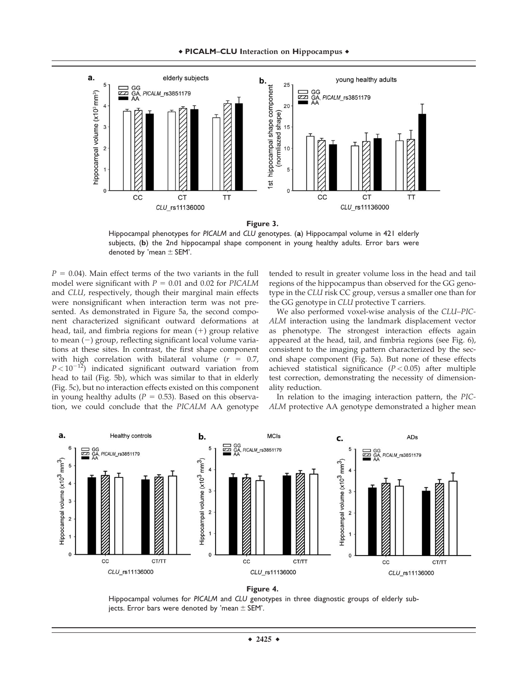

**Figure 3.**

Hippocampal phenotypes for *PICALM* and *CLU* genotypes. (**a**) Hippocampal volume in 421 elderly subjects, (**b**) the 2nd hippocampal shape component in young healthy adults. Error bars were denoted by 'mean  $\pm$  SEM'.

 $P = 0.04$ ). Main effect terms of the two variants in the full model were significant with  $P = 0.01$  and 0.02 for PICALM and CLU, respectively, though their marginal main effects were nonsignificant when interaction term was not presented. As demonstrated in Figure 5a, the second component characterized significant outward deformations at head, tail, and fimbria regions for mean  $(+)$  group relative to mean (-) group, reflecting significant local volume variations at these sites. In contrast, the first shape component with high correlation with bilateral volume ( $r = 0.7$ ,  $P < 10^{-12}$ ) indicated significant outward variation from head to tail (Fig. 5b), which was similar to that in elderly (Fig. 5c), but no interaction effects existed on this component in young healthy adults ( $P = 0.53$ ). Based on this observation, we could conclude that the PICALM AA genotype

tended to result in greater volume loss in the head and tail regions of the hippocampus than observed for the GG genotype in the CLU risk CC group, versus a smaller one than for the GG genotype in CLU protective T carriers.

We also performed voxel-wise analysis of the CLU–PIC-ALM interaction using the landmark displacement vector as phenotype. The strongest interaction effects again appeared at the head, tail, and fimbria regions (see Fig. 6), consistent to the imaging pattern characterized by the second shape component (Fig. 5a). But none of these effects achieved statistical significance  $(P < 0.05)$  after multiple test correction, demonstrating the necessity of dimensionality reduction.

In relation to the imaging interaction pattern, the PIC-ALM protective AA genotype demonstrated a higher mean



**Figure 4.** Hippocampal volumes for *PICALM* and *CLU* genotypes in three diagnostic groups of elderly subjects. Error bars were denoted by 'mean  $\pm$  SEM'.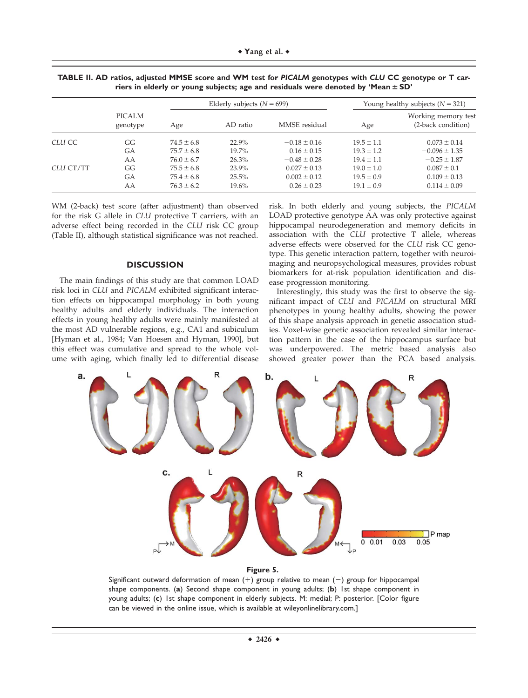|           |                    | Elderly subjects $(N = 699)$ |          | Young healthy subjects $(N = 321)$ |                |                                           |
|-----------|--------------------|------------------------------|----------|------------------------------------|----------------|-------------------------------------------|
|           | PICALM<br>genotype | Age                          | AD ratio | MMSE residual                      | Age            | Working memory test<br>(2-back condition) |
| CLU CC    | GG                 | $74.5 \pm 6.8$               | 22.9%    | $-0.18 \pm 0.16$                   | $19.5 \pm 1.1$ | $0.073 \pm 0.14$                          |
|           | GА                 | $75.7 \pm 6.8$               | 19.7%    | $0.16 \pm 0.15$                    | $19.3 \pm 1.2$ | $-0.096 \pm 1.35$                         |
|           | AA                 | $76.0 \pm 6.7$               | 26.3%    | $-0.48 \pm 0.28$                   | $19.4 \pm 1.1$ | $-0.25 \pm 1.87$                          |
| CLU CT/TT | GG                 | $75.5 \pm 6.8$               | 23.9%    | $0.027 \pm 0.13$                   | $19.0 \pm 1.0$ | $0.087 \pm 0.1$                           |
|           | GА                 | $75.4 \pm 6.8$               | 25.5%    | $0.002 \pm 0.12$                   | $19.5 \pm 0.9$ | $0.109 \pm 0.13$                          |
|           | AA                 | $76.3 \pm 6.2$               | 19.6%    | $0.26 \pm 0.23$                    | $19.1 \pm 0.9$ | $0.114 \pm 0.09$                          |

**TABLE II. AD ratios, adjusted MMSE score and WM test for** PICALM **genotypes with** CLU **CC genotype or T car**riers in elderly or young subjects; age and residuals were denoted by 'Mean  $\pm$  SD'

WM (2-back) test score (after adjustment) than observed for the risk G allele in CLU protective T carriers, with an adverse effect being recorded in the CLU risk CC group (Table II), although statistical significance was not reached.

#### **DISCUSSION**

The main findings of this study are that common LOAD risk loci in CLU and PICALM exhibited significant interaction effects on hippocampal morphology in both young healthy adults and elderly individuals. The interaction effects in young healthy adults were mainly manifested at the most AD vulnerable regions, e.g., CA1 and subiculum [Hyman et al., 1984; Van Hoesen and Hyman, 1990], but this effect was cumulative and spread to the whole volume with aging, which finally led to differential disease

risk. In both elderly and young subjects, the PICALM LOAD protective genotype AA was only protective against hippocampal neurodegeneration and memory deficits in association with the CLU protective T allele, whereas adverse effects were observed for the CLU risk CC genotype. This genetic interaction pattern, together with neuroimaging and neuropsychological measures, provides robust biomarkers for at-risk population identification and disease progression monitoring.

Interestingly, this study was the first to observe the significant impact of CLU and PICALM on structural MRI phenotypes in young healthy adults, showing the power of this shape analysis approach in genetic association studies. Voxel-wise genetic association revealed similar interaction pattern in the case of the hippocampus surface but was underpowered. The metric based analysis also showed greater power than the PCA based analysis.



**Figure 5.**

Significant outward deformation of mean  $(+)$  group relative to mean  $(-)$  group for hippocampal shape components. (**a**) Second shape component in young adults; (**b**) 1st shape component in young adults; (**c**) 1st shape component in elderly subjects. M: medial; P: posterior. [Color figure can be viewed in the online issue, which is available at [wileyonlinelibrary.com](http://wileyonlinelibrary.com).]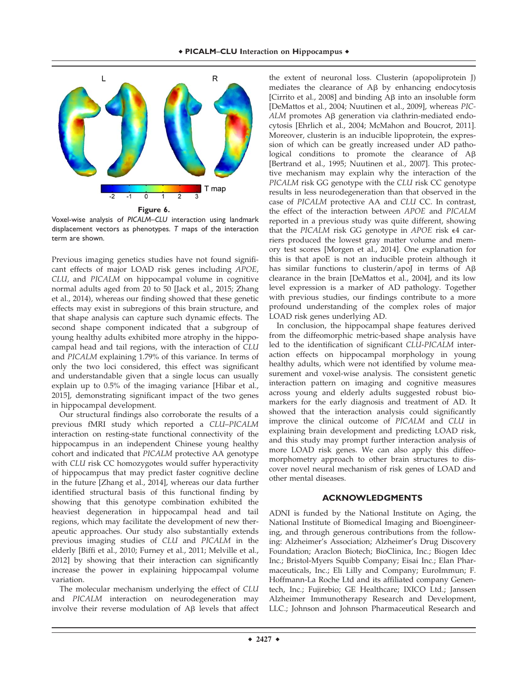

Voxel-wise analysis of *PICALM–CLU* interaction using landmark displacement vectors as phenotypes. *T* maps of the interaction term are shown.

Previous imaging genetics studies have not found significant effects of major LOAD risk genes including APOE, CLU, and PICALM on hippocampal volume in cognitive normal adults aged from 20 to 50 [Jack et al., 2015; Zhang et al., 2014), whereas our finding showed that these genetic effects may exist in subregions of this brain structure, and that shape analysis can capture such dynamic effects. The second shape component indicated that a subgroup of young healthy adults exhibited more atrophy in the hippocampal head and tail regions, with the interaction of CLU and PICALM explaining 1.79% of this variance. In terms of only the two loci considered, this effect was significant and understandable given that a single locus can usually explain up to 0.5% of the imaging variance [Hibar et al., 2015], demonstrating significant impact of the two genes in hippocampal development.

Our structural findings also corroborate the results of a previous fMRI study which reported a CLU–PICALM interaction on resting-state functional connectivity of the hippocampus in an independent Chinese young healthy cohort and indicated that PICALM protective AA genotype with CLU risk CC homozygotes would suffer hyperactivity of hippocampus that may predict faster cognitive decline in the future [Zhang et al., 2014], whereas our data further identified structural basis of this functional finding by showing that this genotype combination exhibited the heaviest degeneration in hippocampal head and tail regions, which may facilitate the development of new therapeutic approaches. Our study also substantially extends previous imaging studies of CLU and PICALM in the elderly [Biffi et al., 2010; Furney et al., 2011; Melville et al., 2012] by showing that their interaction can significantly increase the power in explaining hippocampal volume variation.

The molecular mechanism underlying the effect of CLU and PICALM interaction on neurodegeneration may involve their reverse modulation of  $A\beta$  levels that affect

the extent of neuronal loss. Clusterin (apopoliprotein J) mediates the clearance of  $\mathsf{A}\mathsf{B}$  by enhancing endocytosis [Cirrito et al., 2008] and binding  $A\beta$  into an insoluble form [DeMattos et al., 2004; Nuutinen et al., 2009], whereas PIC- $ALM$  promotes  $\mathbf{A}\mathbf{\beta}$  generation via clathrin-mediated endocytosis [Ehrlich et al., 2004; McMahon and Boucrot, 2011]. Moreover, clusterin is an inducible lipoprotein, the expression of which can be greatly increased under AD pathological conditions to promote the clearance of  $A\beta$ [Bertrand et al., 1995; Nuutinen et al., 2007]. This protective mechanism may explain why the interaction of the PICALM risk GG genotype with the CLU risk CC genotype results in less neurodegeneration than that observed in the case of PICALM protective AA and CLU CC. In contrast, the effect of the interaction between APOE and PICALM reported in a previous study was quite different, showing that the PICALM risk GG genotype in APOE risk  $\epsilon$ 4 carriers produced the lowest gray matter volume and memory test scores [Morgen et al., 2014]. One explanation for this is that apoE is not an inducible protein although it has similar functions to clusterin/apoJ in terms of  $A\beta$ clearance in the brain [DeMattos et al., 2004], and its low level expression is a marker of AD pathology. Together with previous studies, our findings contribute to a more profound understanding of the complex roles of major LOAD risk genes underlying AD.

In conclusion, the hippocampal shape features derived from the diffeomorphic metric-based shape analysis have led to the identification of significant CLU-PICALM interaction effects on hippocampal morphology in young healthy adults, which were not identified by volume measurement and voxel-wise analysis. The consistent genetic interaction pattern on imaging and cognitive measures across young and elderly adults suggested robust biomarkers for the early diagnosis and treatment of AD. It showed that the interaction analysis could significantly improve the clinical outcome of PICALM and CLU in explaining brain development and predicting LOAD risk, and this study may prompt further interaction analysis of more LOAD risk genes. We can also apply this diffeomorphometry approach to other brain structures to discover novel neural mechanism of risk genes of LOAD and other mental diseases.

### **ACKNOWLEDGMENTS**

ADNI is funded by the National Institute on Aging, the National Institute of Biomedical Imaging and Bioengineering, and through generous contributions from the following: Alzheimer's Association; Alzheimer's Drug Discovery Foundation; Araclon Biotech; BioClinica, Inc.; Biogen Idec Inc.; Bristol-Myers Squibb Company; Eisai Inc.; Elan Pharmaceuticals, Inc.; Eli Lilly and Company; EuroImmun; F. Hoffmann-La Roche Ltd and its affiliated company Genentech, Inc.; Fujirebio; GE Healthcare; IXICO Ltd.; Janssen Alzheimer Immunotherapy Research and Development, LLC.; Johnson and Johnson Pharmaceutical Research and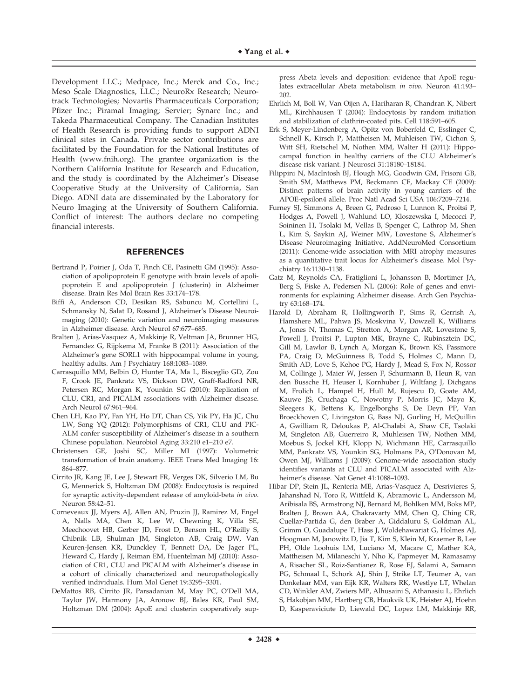Development LLC.; Medpace, Inc.; Merck and Co., Inc.; Meso Scale Diagnostics, LLC.; NeuroRx Research; Neurotrack Technologies; Novartis Pharmaceuticals Corporation; Pfizer Inc.; Piramal Imaging; Servier; Synarc Inc.; and Takeda Pharmaceutical Company. The Canadian Institutes of Health Research is providing funds to support ADNI clinical sites in Canada. Private sector contributions are facilitated by the Foundation for the National Institutes of Health ([www.fnih.org](http://www.fnih.org)). The grantee organization is the Northern California Institute for Research and Education, and the study is coordinated by the Alzheimer's Disease Cooperative Study at the University of California, San Diego. ADNI data are disseminated by the Laboratory for Neuro Imaging at the University of Southern California. Conflict of interest: The authors declare no competing financial interests.

### **REFERENCES**

- Bertrand P, Poirier J, Oda T, Finch CE, Pasinetti GM (1995): Association of apolipoprotein E genotype with brain levels of apolipoprotein E and apolipoprotein J (clusterin) in Alzheimer disease. Brain Res Mol Brain Res 33:174–178.
- Biffi A, Anderson CD, Desikan RS, Sabuncu M, Cortellini L, Schmansky N, Salat D, Rosand J, Alzheimer's Disease Neuroimaging (2010): Genetic variation and neuroimaging measures in Alzheimer disease. Arch Neurol 67:677–685.
- Bralten J, Arias-Vasquez A, Makkinje R, Veltman JA, Brunner HG, Fernandez G, Rijpkema M, Franke B (2011): Association of the Alzheimer's gene SORL1 with hippocampal volume in young, healthy adults. Am J Psychiatry 168:1083–1089.
- Carrasquillo MM, Belbin O, Hunter TA, Ma L, Bisceglio GD, Zou F, Crook JE, Pankratz VS, Dickson DW, Graff-Radford NR, Petersen RC, Morgan K, Younkin SG (2010): Replication of CLU, CR1, and PICALM associations with Alzheimer disease. Arch Neurol 67:961–964.
- Chen LH, Kao PY, Fan YH, Ho DT, Chan CS, Yik PY, Ha JC, Chu LW, Song YQ (2012): Polymorphisms of CR1, CLU and PIC-ALM confer susceptibility of Alzheimer's disease in a southern Chinese population. Neurobiol Aging 33:210 e1–210 e7.
- Christensen GE, Joshi SC, Miller MI (1997): Volumetric transformation of brain anatomy. IEEE Trans Med Imaging 16: 864–877.
- Cirrito JR, Kang JE, Lee J, Stewart FR, Verges DK, Silverio LM, Bu G, Mennerick S, Holtzman DM (2008): Endocytosis is required for synaptic activity-dependent release of amyloid-beta in vivo. Neuron 58:42–51.
- Corneveaux JJ, Myers AJ, Allen AN, Pruzin JJ, Ramirez M, Engel A, Nalls MA, Chen K, Lee W, Chewning K, Villa SE, Meechoovet HB, Gerber JD, Frost D, Benson HL, O'Reilly S, Chibnik LB, Shulman JM, Singleton AB, Craig DW, Van Keuren-Jensen KR, Dunckley T, Bennett DA, De Jager PL, Heward C, Hardy J, Reiman EM, Huentelman MJ (2010): Association of CR1, CLU and PICALM with Alzheimer's disease in a cohort of clinically characterized and neuropathologically verified individuals. Hum Mol Genet 19:3295–3301.
- DeMattos RB, Cirrito JR, Parsadanian M, May PC, O'Dell MA, Taylor JW, Harmony JA, Aronow BJ, Bales KR, Paul SM, Holtzman DM (2004): ApoE and clusterin cooperatively sup-

press Abeta levels and deposition: evidence that ApoE regulates extracellular Abeta metabolism in vivo. Neuron 41:193– 202.

- Ehrlich M, Boll W, Van Oijen A, Hariharan R, Chandran K, Nibert ML, Kirchhausen T (2004): Endocytosis by random initiation and stabilization of clathrin-coated pits. Cell 118:591–605.
- Erk S, Meyer-Lindenberg A, Opitz von Boberfeld C, Esslinger C, Schnell K, Kirsch P, Mattheisen M, Muhleisen TW, Cichon S, Witt SH, Rietschel M, Nothen MM, Walter H (2011): Hippocampal function in healthy carriers of the CLU Alzheimer's disease risk variant. J Neurosci 31:18180–18184.
- Filippini N, MacIntosh BJ, Hough MG, Goodwin GM, Frisoni GB, Smith SM, Matthews PM, Beckmann CF, Mackay CE (2009): Distinct patterns of brain activity in young carriers of the APOE-epsilon4 allele. Proc Natl Acad Sci USA 106:7209–7214.
- Furney SJ, Simmons A, Breen G, Pedroso I, Lunnon K, Proitsi P, Hodges A, Powell J, Wahlund LO, Kloszewska I, Mecocci P, Soininen H, Tsolaki M, Vellas B, Spenger C, Lathrop M, Shen L, Kim S, Saykin AJ, Weiner MW, Lovestone S, Alzheimer's Disease Neuroimaging Initiative, AddNeuroMed Consortium (2011): Genome-wide association with MRI atrophy measures as a quantitative trait locus for Alzheimer's disease. Mol Psychiatry 16:1130–1138.
- Gatz M, Reynolds CA, Fratiglioni L, Johansson B, Mortimer JA, Berg S, Fiske A, Pedersen NL (2006): Role of genes and environments for explaining Alzheimer disease. Arch Gen Psychiatry 63:168–174.
- Harold D, Abraham R, Hollingworth P, Sims R, Gerrish A, Hamshere ML, Pahwa JS, Moskvina V, Dowzell K, Williams A, Jones N, Thomas C, Stretton A, Morgan AR, Lovestone S, Powell J, Proitsi P, Lupton MK, Brayne C, Rubinsztein DC, Gill M, Lawlor B, Lynch A, Morgan K, Brown KS, Passmore PA, Craig D, McGuinness B, Todd S, Holmes C, Mann D, Smith AD, Love S, Kehoe PG, Hardy J, Mead S, Fox N, Rossor M, Collinge J, Maier W, Jessen F, Schurmann B, Heun R, van den Bussche H, Heuser I, Kornhuber J, Wiltfang J, Dichgans M, Frolich L, Hampel H, Hull M, Rujescu D, Goate AM, Kauwe JS, Cruchaga C, Nowotny P, Morris JC, Mayo K, Sleegers K, Bettens K, Engelborghs S, De Deyn PP, Van Broeckhoven C, Livingston G, Bass NJ, Gurling H, McQuillin A, Gwilliam R, Deloukas P, Al-Chalabi A, Shaw CE, Tsolaki M, Singleton AB, Guerreiro R, Muhleisen TW, Nothen MM, Moebus S, Jockel KH, Klopp N, Wichmann HE, Carrasquillo MM, Pankratz VS, Younkin SG, Holmans PA, O'Donovan M, Owen MJ, Williams J (2009): Genome-wide association study identifies variants at CLU and PICALM associated with Alzheimer's disease. Nat Genet 41:1088–1093.
- Hibar DP, Stein JL, Renteria ME, Arias-Vasquez A, Desrivieres S, Jahanshad N, Toro R, Wittfeld K, Abramovic L, Andersson M, Aribisala BS, Armstrong NJ, Bernard M, Bohlken MM, Boks MP, Bralten J, Brown AA, Chakravarty MM, Chen Q, Ching CR, Cuellar-Partida G, den Braber A, Giddaluru S, Goldman AL, Grimm O, Guadalupe T, Hass J, Woldehawariat G, Holmes AJ, Hoogman M, Janowitz D, Jia T, Kim S, Klein M, Kraemer B, Lee PH, Olde Loohuis LM, Luciano M, Macare C, Mather KA, Mattheisen M, Milaneschi Y, Nho K, Papmeyer M, Ramasamy A, Risacher SL, Roiz-Santianez R, Rose EJ, Salami A, Samann PG, Schmaal L, Schork AJ, Shin J, Strike LT, Teumer A, van Donkelaar MM, van Eijk KR, Walters RK, Westlye LT, Whelan CD, Winkler AM, Zwiers MP, Alhusaini S, Athanasiu L, Ehrlich S, Hakobjan MM, Hartberg CB, Haukvik UK, Heister AJ, Hoehn D, Kasperaviciute D, Liewald DC, Lopez LM, Makkinje RR,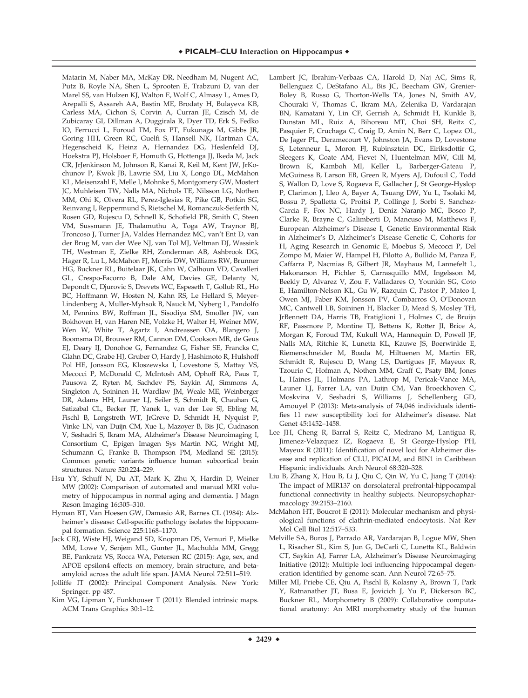Matarin M, Naber MA, McKay DR, Needham M, Nugent AC, Putz B, Royle NA, Shen L, Sprooten E, Trabzuni D, van der Marel SS, van Hulzen KJ, Walton E, Wolf C, Almasy L, Ames D, Arepalli S, Assareh AA, Bastin ME, Brodaty H, Bulayeva KB, Carless MA, Cichon S, Corvin A, Curran JE, Czisch M, de Zubicaray GI, Dillman A, Duggirala R, Dyer TD, Erk S, Fedko IO, Ferrucci L, Foroud TM, Fox PT, Fukunaga M, Gibbs JR, Goring HH, Green RC, Guelfi S, Hansell NK, Hartman CA, Hegenscheid K, Heinz A, Hernandez DG, Heslenfeld DJ, Hoekstra PJ, Holsboer F, Homuth G, Hottenga JJ, Ikeda M, Jack CR, JrJenkinson M, Johnson R, Kanai R, Keil M, Kent JW, JrKochunov P, Kwok JB, Lawrie SM, Liu X, Longo DL, McMahon KL, Meisenzahl E, Melle I, Mohnke S, Montgomery GW, Mostert JC, Muhleisen TW, Nalls MA, Nichols TE, Nilsson LG, Nothen MM, Ohi K, Olvera RL, Perez-Iglesias R, Pike GB, Potkin SG, Reinvang I, Reppermund S, Rietschel M, Romanczuk-Seiferth N, Rosen GD, Rujescu D, Schnell K, Schofield PR, Smith C, Steen VM, Sussmann JE, Thalamuthu A, Toga AW, Traynor BJ, Troncoso J, Turner JA, Valdes Hernandez MC, van't Ent D, van der Brug M, van der Wee NJ, van Tol MJ, Veltman DJ, Wassink TH, Westman E, Zielke RH, Zonderman AB, Ashbrook DG, Hager R, Lu L, McMahon FJ, Morris DW, Williams RW, Brunner HG, Buckner RL, Buitelaar JK, Cahn W, Calhoun VD, Cavalleri GL, Crespo-Facorro B, Dale AM, Davies GE, Delanty N, Depondt C, Djurovic S, Drevets WC, Espeseth T, Gollub RL, Ho BC, Hoffmann W, Hosten N, Kahn RS, Le Hellard S, Meyer-Lindenberg A, Muller-Myhsok B, Nauck M, Nyberg L, Pandolfo M, Penninx BW, Roffman JL, Sisodiya SM, Smoller JW, van Bokhoven H, van Haren NE, Volzke H, Walter H, Weiner MW, Wen W, White T, Agartz I, Andreassen OA, Blangero J, Boomsma DI, Brouwer RM, Cannon DM, Cookson MR, de Geus EJ, Deary IJ, Donohoe G, Fernandez G, Fisher SE, Francks C, Glahn DC, Grabe HJ, Gruber O, Hardy J, Hashimoto R, Hulshoff Pol HE, Jonsson EG, Kloszewska I, Lovestone S, Mattay VS, Mecocci P, McDonald C, McIntosh AM, Ophoff RA, Paus T, Pausova Z, Ryten M, Sachdev PS, Saykin AJ, Simmons A, Singleton A, Soininen H, Wardlaw JM, Weale ME, Weinberger DR, Adams HH, Launer LJ, Seiler S, Schmidt R, Chauhan G, Satizabal CL, Becker JT, Yanek L, van der Lee SJ, Ebling M, Fischl B, Longstreth WT, JrGreve D, Schmidt H, Nyquist P, Vinke LN, van Duijn CM, Xue L, Mazoyer B, Bis JC, Gudnason V, Seshadri S, Ikram MA, Alzheimer's Disease Neuroimaging I, Consortium C, Epigen Imagen Sys Martin NG, Wright MJ, Schumann G, Franke B, Thompson PM, Medland SE (2015): Common genetic variants influence human subcortical brain structures. Nature 520:224–229.

- Hsu YY, Schuff N, Du AT, Mark K, Zhu X, Hardin D, Weiner MW (2002): Comparison of automated and manual MRI volumetry of hippocampus in normal aging and dementia. J Magn Reson Imaging 16:305–310.
- Hyman BT, Van Hoesen GW, Damasio AR, Barnes CL (1984): Alzheimer's disease: Cell-specific pathology isolates the hippocampal formation. Science 225:1168–1170.
- Jack CRJ, Wiste HJ, Weigand SD, Knopman DS, Vemuri P, Mielke MM, Lowe V, Senjem ML, Gunter JL, Machulda MM, Gregg BE, Pankratz VS, Rocca WA, Petersen RC (2015): Age, sex, and APOE epsilon4 effects on memory, brain structure, and betaamyloid across the adult life span. JAMA Neurol 72:511–519.
- Jolliffe IT (2002): Principal Component Analysis. New York: Springer. pp 487.
- Kim VG, Lipman Y, Funkhouser T (2011): Blended intrinsic maps. ACM Trans Graphics 30:1–12.
- Lambert JC, Ibrahim-Verbaas CA, Harold D, Naj AC, Sims R, Bellenguez C, DeStafano AL, Bis JC, Beecham GW, Grenier-Boley B, Russo G, Thorton-Wells TA, Jones N, Smith AV, Chouraki V, Thomas C, Ikram MA, Zelenika D, Vardarajan BN, Kamatani Y, Lin CF, Gerrish A, Schmidt H, Kunkle B, Dunstan ML, Ruiz A, Bihoreau MT, Choi SH, Reitz C, Pasquier F, Cruchaga C, Craig D, Amin N, Berr C, Lopez OL, De Jager PL, Deramecourt V, Johnston JA, Evans D, Lovestone S, Letenneur L, Moron FJ, Rubinsztein DC, Eiriksdottir G, Sleegers K, Goate AM, Fievet N, Huentelman MW, Gill M, Brown K, Kamboh MI, Keller L, Barberger-Gateau P, McGuiness B, Larson EB, Green R, Myers AJ, Dufouil C, Todd S, Wallon D, Love S, Rogaeva E, Gallacher J, St George-Hyslop P, Clarimon J, Lleo A, Bayer A, Tsuang DW, Yu L, Tsolaki M, Bossu P, Spalletta G, Proitsi P, Collinge J, Sorbi S, Sanchez-Garcia F, Fox NC, Hardy J, Deniz Naranjo MC, Bosco P, Clarke R, Brayne C, Galimberti D, Mancuso M, Matthews F, European Alzheimer's Disease I, Genetic Environmental Risk in Alzheimer's D, Alzheimer's Disease Genetic C, Cohorts for H, Aging Research in Genomic E, Moebus S, Mecocci P, Del Zompo M, Maier W, Hampel H, Pilotto A, Bullido M, Panza F, Caffarra P, Nacmias B, Gilbert JR, Mayhaus M, Lannefelt L, Hakonarson H, Pichler S, Carrasquillo MM, Ingelsson M, Beekly D, Alvarez V, Zou F, Valladares O, Younkin SG, Coto E, Hamilton-Nelson KL, Gu W, Razquin C, Pastor P, Mateo I, Owen MJ, Faber KM, Jonsson PV, Combarros O, O'Donovan MC, Cantwell LB, Soininen H, Blacker D, Mead S, Mosley TH, JrBennett DA, Harris TB, Fratiglioni L, Holmes C, de Bruijn RF, Passmore P, Montine TJ, Bettens K, Rotter JI, Brice A, Morgan K, Foroud TM, Kukull WA, Hannequin D, Powell JF, Nalls MA, Ritchie K, Lunetta KL, Kauwe JS, Boerwinkle E, Riemenschneider M, Boada M, Hiltuenen M, Martin ER, Schmidt R, Rujescu D, Wang LS, Dartigues JF, Mayeux R, Tzourio C, Hofman A, Nothen MM, Graff C, Psaty BM, Jones L, Haines JL, Holmans PA, Lathrop M, Pericak-Vance MA, Launer LJ, Farrer LA, van Duijn CM, Van Broeckhoven C, Moskvina V, Seshadri S, Williams J, Schellenberg GD, Amouyel P (2013): Meta-analysis of 74,046 individuals identifies 11 new susceptibility loci for Alzheimer's disease. Nat Genet 45:1452–1458.
- Lee JH, Cheng R, Barral S, Reitz C, Medrano M, Lantigua R, Jimenez-Velazquez IZ, Rogaeva E, St George-Hyslop PH, Mayeux R (2011): Identification of novel loci for Alzheimer disease and replication of CLU, PICALM, and BIN1 in Caribbean Hispanic individuals. Arch Neurol 68:320–328.
- Liu B, Zhang X, Hou B, Li J, Qiu C, Qin W, Yu C, Jiang T (2014): The impact of MIR137 on dorsolateral prefrontal-hippocampal functional connectivity in healthy subjects. Neuropsychopharmacology 39:2153–2160.
- McMahon HT, Boucrot E (2011): Molecular mechanism and physiological functions of clathrin-mediated endocytosis. Nat Rev Mol Cell Biol 12:517–533.
- Melville SA, Buros J, Parrado AR, Vardarajan B, Logue MW, Shen L, Risacher SL, Kim S, Jun G, DeCarli C, Lunetta KL, Baldwin CT, Saykin AJ, Farrer LA, Alzheimer's Disease Neuroimaging Initiative (2012): Multiple loci influencing hippocampal degeneration identified by genome scan. Ann Neurol 72:65–75.
- Miller MI, Priebe CE, Qiu A, Fischl B, Kolasny A, Brown T, Park Y, Ratnanather JT, Busa E, Jovicich J, Yu P, Dickerson BC, Buckner RL, Morphometry B (2009): Collaborative computational anatomy: An MRI morphometry study of the human